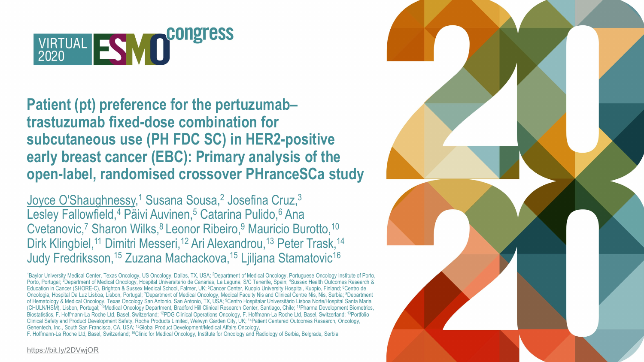

# **Patient (pt) preference for the pertuzumab– trastuzumab fixed-dose combination for subcutaneous use (PH FDC SC) in HER2-positive early breast cancer (EBC): Primary analysis of the open-label, randomised crossover PHranceSCa study**

<u>Joyce O'Shaughnessy</u>,<sup>1</sup> Susana Sousa,<sup>2</sup> Josefina Cruz,<sup>3</sup> Lesley Fallowfield,<sup>4</sup> Päivi Auvinen,<sup>5</sup> Catarina Pulido,<sup>6</sup> Ana Cvetanovic,<sup>7</sup> Sharon Wilks,<sup>8</sup> Leonor Ribeiro,<sup>9</sup> Mauricio Burotto,<sup>10</sup> Dirk Klingbiel,<sup>11</sup> Dimitri Messeri,<sup>12</sup> Ari Alexandrou,<sup>13</sup> Peter Trask,<sup>14</sup> Judy Fredriksson,15 Zuzana Machackova,15 Ljiljana Stamatovic16

<sup>1</sup>Baylor University Medical Center, Texas Oncology, US Oncology, Dallas, TX, USA; <sup>2</sup>Department of Medical Oncology, Portuguese Oncology Institute of Porto, Porto, Portugal; <sup>3</sup>Department of Medical Oncology, Hospital Universitario de Canarias, La Laguna, S/C Tenerife, Spain; <sup>4</sup>Sussex Health Outcomes Research & Education in Cancer (SHORE-C), Brighton & Sussex Medical School, Falmer, UK; 5Cancer Center, Kuopio University Hospital, Kuopio, Finland; 6Centro de Oncologia, Hospital Da Luz Lisboa, Lisbon, Portugal; 7Department of Medical Oncology, Medical Faculty Nis and Clinical Centre Nis, Nis, Serbia; 8Department of Hematology & Medical Oncology, Texas Oncology San Antonio, San Antonio, TX, USA; 9Centro Hospitalar Universitário Lisboa Norte/Hospital Santa Maria (CHULN/HSM), Lisbon, Portugal; 10Medical Oncology Department, Bradford Hill Clinical Research Center, Santiago, Chile; 11Pharma Development Biometrics, Biostatistics, F. Hoffmann-La Roche Ltd, Basel, Switzerland; <sup>12</sup>PDG Clinical Operations Oncology, F. Hoffmann-La Roche Ltd, Basel, Switzerland; <sup>13</sup>Portfolio Clinical Safety and Product Development Safety, Roche Products Limited, Welwyn Garden City, UK; 14Patient Centered Outcomes Research, Oncology, Genentech, Inc., South San Francisco, CA, USA; 15Global Product Development/Medical Affairs Oncology,

F. Hoffmann-La Roche Ltd, Basel, Switzerland; 16Clinic for Medical Oncology, Institute for Oncology and Radiology of Serbia, Belgrade, Serbia



<https://bit.ly/2DVwjOR>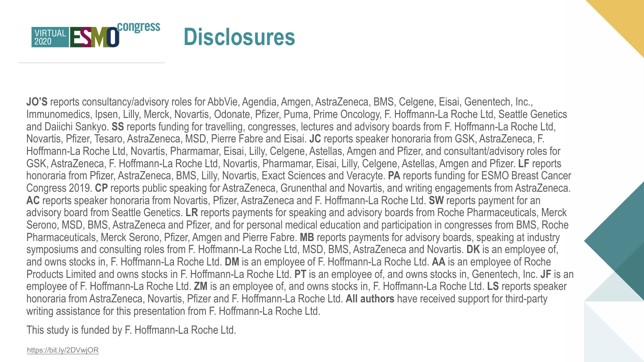

**JO'S** reports consultancy/advisory roles for AbbVie, Agendia, Amgen, AstraZeneca, BMS, Celgene, Eisai, Genentech, Inc., Immunomedics, Ipsen, Lilly, Merck, Novartis, Odonate, Pfizer, Puma, Prime Oncology, F. Hoffmann-La Roche Ltd, Seattle Genetics and Daiichi Sankyo. **SS** reports funding for travelling, congresses, lectures and advisory boards from F. Hoffmann-La Roche Ltd, Novartis, Pfizer, Tesaro, AstraZeneca, MSD, Pierre Fabre and Eisai. **JC** reports speaker honoraria from GSK, AstraZeneca, F. Hoffmann-La Roche Ltd, Novartis, Pharmamar, Eisai, Lilly, Celgene, Astellas, Amgen and Pfizer, and consultant/advisory roles for GSK, AstraZeneca, F. Hoffmann-La Roche Ltd, Novartis, Pharmamar, Eisai, Lilly, Celgene, Astellas, Amgen and Pfizer. **LF** reports honoraria from Pfizer, AstraZeneca, BMS, Lilly, Novartis, Exact Sciences and Veracyte. **PA** reports funding for ESMO Breast Cancer Congress 2019. **CP** reports public speaking for AstraZeneca, Grunenthal and Novartis, and writing engagements from AstraZeneca. **AC** reports speaker honoraria from Novartis, Pfizer, AstraZeneca and F. Hoffmann-La Roche Ltd. **SW** reports payment for an advisory board from Seattle Genetics. **LR** reports payments for speaking and advisory boards from Roche Pharmaceuticals, Merck Serono, MSD, BMS, AstraZeneca and Pfizer, and for personal medical education and participation in congresses from BMS, Roche Pharmaceuticals, Merck Serono, Pfizer, Amgen and Pierre Fabre. **MB** reports payments for advisory boards, speaking at industry symposiums and consulting roles from F. Hoffmann-La Roche Ltd, MSD, BMS, AstraZeneca and Novartis. **DK** is an employee of, and owns stocks in, F. Hoffmann-La Roche Ltd. **DM** is an employee of F. Hoffmann-La Roche Ltd. **AA** is an employee of Roche Products Limited and owns stocks in F. Hoffmann-La Roche Ltd. **PT** is an employee of, and owns stocks in, Genentech, Inc. **JF** is an employee of F. Hoffmann-La Roche Ltd. **ZM** is an employee of, and owns stocks in, F. Hoffmann-La Roche Ltd. **LS** reports speaker honoraria from AstraZeneca, Novartis, Pfizer and F. Hoffmann-La Roche Ltd. **All authors** have received support for third-party writing assistance for this presentation from F. Hoffmann-La Roche Ltd.

This study is funded by F. Hoffmann-La Roche Ltd.

<https://bit.ly/2DVwjOR>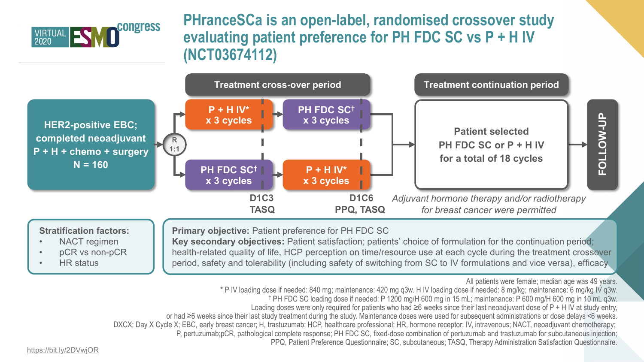

# **PHranceSCa is an open-label, randomised crossover study evaluating patient preference for PH FDC SC vs P + H IV (NCT03674112)**



#### **Stratification factors:**

- NACT regimen
- pCR vs non-pCR
- HR status

#### **Primary objective:** Patient preference for PH FDC SC

**Key secondary objectives:** Patient satisfaction; patients' choice of formulation for the continuation period; health-related quality of life, HCP perception on time/resource use at each cycle during the treatment crossover period, safety and tolerability (including safety of switching from SC to IV formulations and vice versa), efficacy

All patients were female; median age was 49 years.

- \* P IV loading dose if needed: 840 mg; maintenance: 420 mg q3w. H IV loading dose if needed: 8 mg/kg; maintenance: 6 mg/kg IV q3w.
	- † PH FDC SC loading dose if needed: P 1200 mg/H 600 mg in 15 mL; maintenance: P 600 mg/H 600 mg in 10 mL q3w.
	- Loading doses were only required for patients who had  $\geq 6$  weeks since their last neoadjuvant dose of P + H IV at study entry,
- or had ≥6 weeks since their last study treatment during the study. Maintenance doses were used for subsequent administrations or dose delays <6 weeks.
- DXCX; Day X Cycle X; EBC, early breast cancer; H, trastuzumab; HCP, healthcare professional; HR, hormone receptor; IV, intravenous; NACT, neoadjuvant chemotherapy;
	- P, pertuzumab;pCR, pathological complete response; PH FDC SC, fixed-dose combination of pertuzumab and trastuzumab for subcutaneous injection;

PPQ, Patient Preference Questionnaire; SC, subcutaneous; TASQ, Therapy Administration Satisfaction Questionnaire.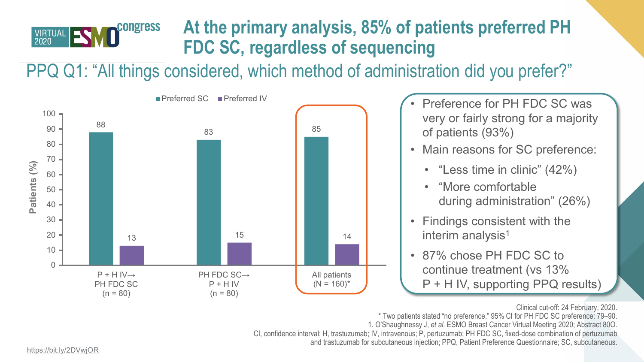

# **At the primary analysis, 85% of patients preferred PH FDC SC, regardless of sequencing**

PPQ Q1: "All things considered, which method of administration did you prefer?"



- very or fairly strong for a majority of patients (93%)
- Main reasons for SC preference:
	- "Less time in clinic" (42%)
	- "More comfortable during administration" (26%)
- Findings consistent with the interim analysis<sup>1</sup>
- 87% chose PH FDC SC to continue treatment (vs 13% P + H IV, supporting PPQ results)

Clinical cut-off: 24 February, 2020.

\* Two patients stated "no preference." 95% CI for PH FDC SC preference: 79–90. 1. O'Shaughnessy J, *et al.* ESMO Breast Cancer Virtual Meeting 2020; Abstract 80O. CI, confidence interval; H, trastuzumab; IV, intravenous; P, pertuzumab; PH FDC SC, fixed-dose combination of pertuzumab and trastuzumab for subcutaneous injection; PPQ, Patient Preference Questionnaire; SC, subcutaneous.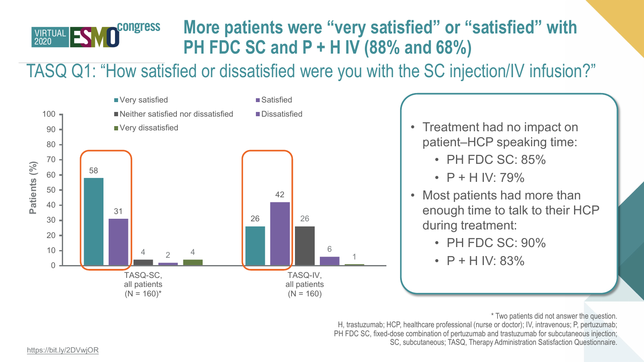

# **More patients were "very satisfied" or "satisfied" with PH FDC SC and P + H IV (88% and 68%)**

TASQ Q1: "How satisfied or dissatisfied were you with the SC injection/IV infusion?"



- patient–HCP speaking time:
	- PH FDC SC: 85%
	- $P$  + H IV: 79%
- Most patients had more than enough time to talk to their HCP during treatment:
	- PH FDC SC: 90%
	- $P$  + H IV: 83%

\* Two patients did not answer the question.

H, trastuzumab; HCP, healthcare professional (nurse or doctor); IV, intravenous; P, pertuzumab; PH FDC SC, fixed-dose combination of pertuzumab and trastuzumab for subcutaneous injection; SC, subcutaneous; TASQ, Therapy Administration Satisfaction Questionnaire.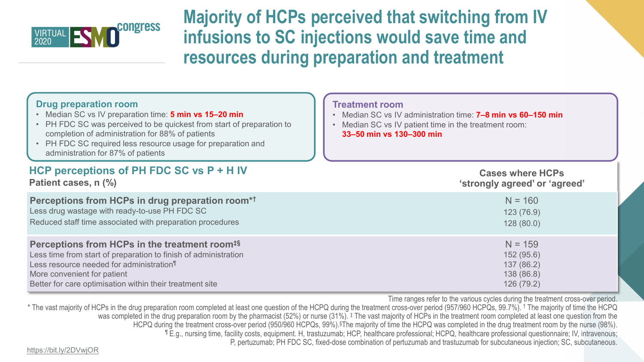

**Majority of HCPs perceived that switching from IV infusions to SC injections would save time and resources during preparation and treatment**

| <b>Drug preparation room</b><br>• Median SC vs IV preparation time: 5 min vs 15-20 min<br>• PH FDC SC was perceived to be quickest from start of preparation to<br>completion of administration for 88% of patients<br>• PH FDC SC required less resource usage for preparation and<br>administration for 87% of patients | <b>Treatment room</b><br>• Median SC vs IV administration time: <b>7-8 min vs 60-150 min</b><br>Median SC vs IV patient time in the treatment room:<br>33-50 min vs 130-300 min |
|---------------------------------------------------------------------------------------------------------------------------------------------------------------------------------------------------------------------------------------------------------------------------------------------------------------------------|---------------------------------------------------------------------------------------------------------------------------------------------------------------------------------|
| HCP perceptions of PH FDC SC vs P + H IV                                                                                                                                                                                                                                                                                  | <b>Cases where HCPs</b>                                                                                                                                                         |
| Patient cases, n (%)                                                                                                                                                                                                                                                                                                      | 'strongly agreed' or 'agreed'                                                                                                                                                   |
| Perceptions from HCPs in drug preparation room*1                                                                                                                                                                                                                                                                          | $N = 160$                                                                                                                                                                       |
| Less drug wastage with ready-to-use PH FDC SC                                                                                                                                                                                                                                                                             | 123(76.9)                                                                                                                                                                       |
| Reduced staff time associated with preparation procedures                                                                                                                                                                                                                                                                 | 128(80.0)                                                                                                                                                                       |
| Perceptions from HCPs in the treatment room <sup>#§</sup>                                                                                                                                                                                                                                                                 | $N = 159$                                                                                                                                                                       |
| Less time from start of preparation to finish of administration                                                                                                                                                                                                                                                           | 152 (95.6)                                                                                                                                                                      |
| Less resource needed for administration <sup>¶</sup>                                                                                                                                                                                                                                                                      | 137 (86.2)                                                                                                                                                                      |
| More convenient for patient                                                                                                                                                                                                                                                                                               | 138 (86.8)                                                                                                                                                                      |
| Better for care optimisation within their treatment site                                                                                                                                                                                                                                                                  | 126 (79.2)                                                                                                                                                                      |

Time ranges refer to the various cycles during the treatment cross-over period.

\* The vast majority of HCPs in the drug preparation room completed at least one question of the HCPQ during the treatment cross-over period (957/960 HCPQs, 99.7%). <sup>†</sup> The majority of time the HCPQ was completed in the drug preparation room by the pharmacist (52%) or nurse (31%). <sup>‡</sup> The vast majority of HCPs in the treatment room completed at least one question from the HCPQ during the treatment cross-over period (950/960 HCPQs, 99%).§The majority of time the HCPQ was completed in the drug treatment room by the nurse (98%). ¶ E.g., nursing time, facility costs, equipment. H, trastuzumab; HCP, healthcare professional; HCPQ, healthcare professional questionnaire; IV, intravenous; P, pertuzumab; PH FDC SC, fixed-dose combination of pertuzumab and trastuzumab for subcutaneous injection; SC, subcutaneous.

<https://bit.ly/2DVwjOR>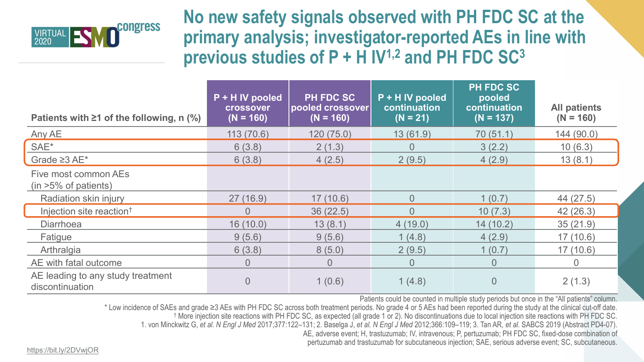

**No new safety signals observed with PH FDC SC at the primary analysis; investigator-reported AEs in line with previous studies of P + H IV1,2 and PH FDC SC3**

| Patients with $\geq 1$ of the following, n (%)           | P + H IV pooled<br><b>crossover</b><br>$(N = 160)$ | <b>PH FDC SC</b><br> pooled crossover <br>$(N = 160)$ | P + H IV pooled<br>continuation<br>$(N = 21)$ | <b>PH FDC SC</b><br>pooled<br>continuation<br>$(N = 137)$ | <b>All patients</b><br>$(N = 160)$ |
|----------------------------------------------------------|----------------------------------------------------|-------------------------------------------------------|-----------------------------------------------|-----------------------------------------------------------|------------------------------------|
| Any AE                                                   | 113(70.6)                                          | 120(75.0)                                             | 13(61.9)                                      | 70(51.1)                                                  | 144(90.0)                          |
| SAE*                                                     | 6(3.8)                                             | 2(1.3)                                                | $\overline{0}$                                | 3(2.2)                                                    | 10(6.3)                            |
| Grade $\geq 3$ AE*                                       | 6(3.8)                                             | 4(2.5)                                                | 2(9.5)                                        | 4(2.9)                                                    | 13(8.1)                            |
| Five most common AEs<br>$(in > 5\% \text{ of patients})$ |                                                    |                                                       |                                               |                                                           |                                    |
| Radiation skin injury                                    | 27(16.9)                                           | 17(10.6)                                              | $\overline{0}$                                | 1(0.7)                                                    | 44 (27.5)                          |
| Injection site reaction <sup>†</sup>                     | $\overline{0}$                                     | 36(22.5)                                              | $\overline{0}$                                | 10(7.3)                                                   | 42(26.3)                           |
| <b>Diarrhoea</b>                                         | 16(10.0)                                           | 13(8.1)                                               | 4(19.0)                                       | 14(10.2)                                                  | 35(21.9)                           |
| Fatigue                                                  | 9(5.6)                                             | 9(5.6)                                                | 1(4.8)                                        | 4(2.9)                                                    | 17(10.6)                           |
| Arthralgia                                               | 6(3.8)                                             | 8(5.0)                                                | 2(9.5)                                        | 1(0.7)                                                    | 17(10.6)                           |
| AE with fatal outcome                                    | $\overline{0}$                                     | $\overline{0}$                                        | $\overline{0}$                                | $\overline{0}$                                            | $\overline{0}$                     |
| AE leading to any study treatment<br>discontinuation     | $\overline{0}$                                     | 1(0.6)                                                | 1(4.8)                                        | $\overline{0}$                                            | 2(1.3)                             |

Patients could be counted in multiple study periods but once in the "All patients" column.

\* Low incidence of SAEs and grade ≥3 AEs with PH FDC SC across both treatment periods. No grade 4 or 5 AEs had been reported during the study at the clinical cut-off date.

† More injection site reactions with PH FDC SC, as expected (all grade 1 or 2). No discontinuations due to local injection site reactions with PH FDC SC.

1. von Minckwitz G, *et al. N Engl J Med* 2017;377:122–131; 2. Baselga J, *et al. N Engl J Med* 2012;366:109–119; 3. Tan AR, *et al.* SABCS 2019 (Abstract PD4-07).

AE, adverse event; H, trastuzumab; IV, intravenous; P, pertuzumab; PH FDC SC, fixed-dose combination of

pertuzumab and trastuzumab for subcutaneous injection; SAE, serious adverse event; SC, subcutaneous.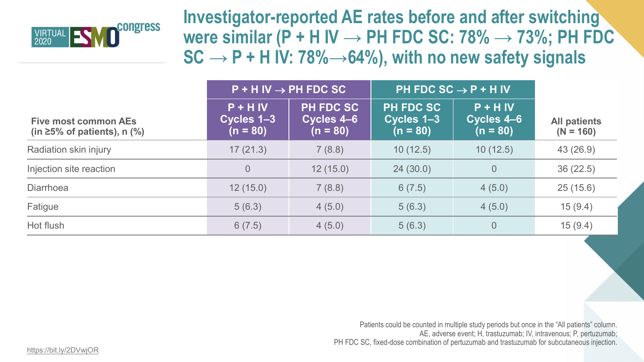

**Investigator-reported AE rates before and after switching were similar (P + H IV → PH FDC SC: 78% → 73%; PH FDC**   $SC \rightarrow P + H IV: 78\% \rightarrow 64\%$ , with no new safety signals

|                                                                  | $P$ + H IV $\rightarrow$ PH FDC SC     |                                              | PH FDC SC $\rightarrow$ P + H IV             |                                        |                                    |
|------------------------------------------------------------------|----------------------------------------|----------------------------------------------|----------------------------------------------|----------------------------------------|------------------------------------|
| <b>Five most common AEs</b><br>(in $\geq$ 5% of patients), n (%) | $P + H$ IV<br>Cycles 1-3<br>$(n = 80)$ | <b>PH FDC SC</b><br>Cycles 4-6<br>$(n = 80)$ | <b>PH FDC SC</b><br>Cycles 1-3<br>$(n = 80)$ | $P + H$ IV<br>Cycles 4-6<br>$(n = 80)$ | <b>All patients</b><br>$(N = 160)$ |
| Radiation skin injury                                            | 17(21.3)                               | 7(8.8)                                       | 10(12.5)                                     | 10(12.5)                               | 43 (26.9)                          |
| Injection site reaction                                          | $\overline{0}$                         | 12(15.0)                                     | 24(30.0)                                     | $\overline{0}$                         | 36(22.5)                           |
| <b>Diarrhoea</b>                                                 | 12(15.0)                               | 7(8.8)                                       | 6(7.5)                                       | 4(5.0)                                 | 25(15.6)                           |
| Fatigue                                                          | 5(6.3)                                 | 4(5.0)                                       | 5(6.3)                                       | 4(5.0)                                 | 15(9.4)                            |
| Hot flush                                                        | 6(7.5)                                 | 4(5.0)                                       | 5(6.3)                                       | $\overline{0}$                         | 15(9.4)                            |

Patients could be counted in multiple study periods but once in the "All patients" column. AE, adverse event; H, trastuzumab; IV, intravenous; P, pertuzumab; PH FDC SC, fixed-dose combination of pertuzumab and trastuzumab for subcutaneous injection.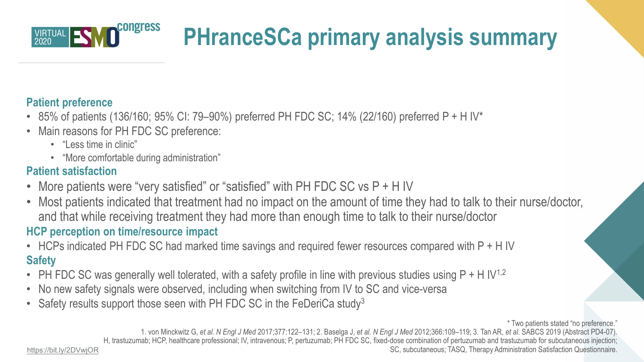

# **PHranceSCa primary analysis summary**

### **Patient preference**

- 85% of patients (136/160; 95% CI: 79–90%) preferred PH FDC SC; 14% (22/160) preferred P + H IV\*
- Main reasons for PH FDC SC preference:
	- "Less time in clinic"
	- "More comfortable during administration"

## **Patient satisfaction**

- More patients were "very satisfied" or "satisfied" with PH FDC SC vs P + H IV
- Most patients indicated that treatment had no impact on the amount of time they had to talk to their nurse/doctor, and that while receiving treatment they had more than enough time to talk to their nurse/doctor

### **HCP perception on time/resource impact**

- HCPs indicated PH FDC SC had marked time savings and required fewer resources compared with P + H IV **Safety**
- PH FDC SC was generally well tolerated, with a safety profile in line with previous studies using  $P + H IV^{1,2}$
- No new safety signals were observed, including when switching from IV to SC and vice-versa
- Safety results support those seen with PH FDC SC in the FeDeriCa study<sup>3</sup>

\* Two patients stated "no preference."

1. von Minckwitz G, *et al. N Engl J Med* 2017;377:122–131; 2. Baselga J, *et al. N Engl J Med* 2012;366:109–119; 3. Tan AR, *et al*. SABCS 2019 (Abstract PD4-07). H, trastuzumab; HCP, healthcare professional; IV, intravenous; P, pertuzumab; PH FDC SC, fixed-dose combination of pertuzumab and trastuzumab for subcutaneous injection;

<https://bit.ly/2DVwjOR> **SC, subcutaneous; TASQ, Therapy Administration Satisfaction Questionnaire.**